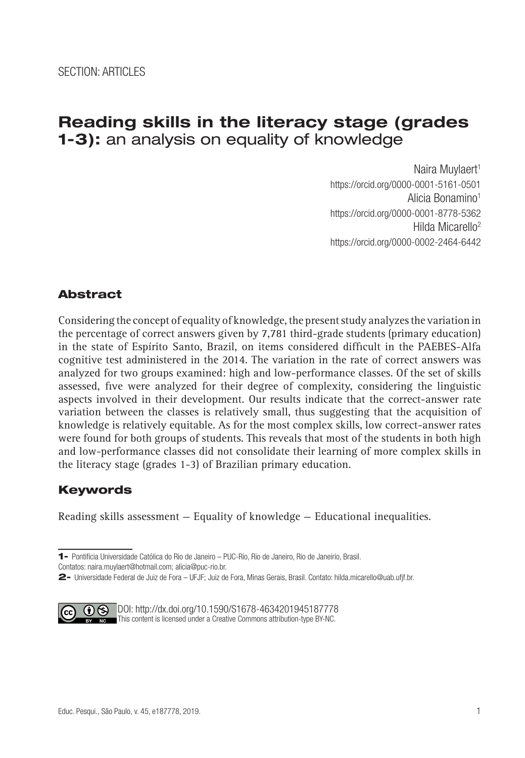# **Reading skills in the literacy stage (grades 1-3):** an analysis on equality of knowledge

Naira Muylaert<sup>1</sup> https://orcid.org/0000-0001-5161-0501 Alicia Bonamino<sup>1</sup> https://orcid.org/0000-0001-8778-5362 Hilda Micarello<sup>2</sup> https://orcid.org/0000-0002-2464-6442

# Abstract

Considering the concept of equality of knowledge, the present study analyzes the variation in the percentage of correct answers given by 7,781 third-grade students (primary education) in the state of Espírito Santo, Brazil, on items considered difficult in the PAEBES-Alfa cognitive test administered in the 2014. The variation in the rate of correct answers was analyzed for two groups examined: high and low-performance classes. Of the set of skills assessed, five were analyzed for their degree of complexity, considering the linguistic aspects involved in their development. Our results indicate that the correct-answer rate variation between the classes is relatively small, thus suggesting that the acquisition of knowledge is relatively equitable. As for the most complex skills, low correct-answer rates were found for both groups of students. This reveals that most of the students in both high and low-performance classes did not consolidate their learning of more complex skills in the literacy stage (grades 1-3) of Brazilian primary education.

# Keywords

Reading skills assessment — Equality of knowledge — Educational inequalities.

<sup>2-</sup> Universidade Federal de Juiz de Fora – UFJF; Juiz de Fora, Minas Gerais, Brasil. Contato: hilda.micarello@uab.ufjf.br.



DOI: http://dx.doi.org/10.1590/S1678-4634201945187778 This content is licensed under a Creative Commons attribution-type BY-NC.

<sup>1-</sup> Pontifícia Universidade Católica do Rio de Janeiro – PUC-Rio, Rio de Janeiro, Rio de Janeirio, Brasil.

Contatos: naira.muylaert@hotmail.com; alicia@puc-rio.br.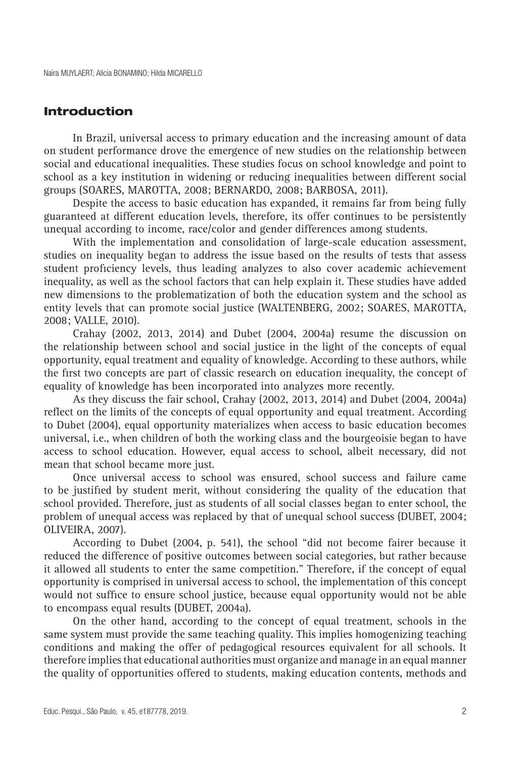## Introduction

In Brazil, universal access to primary education and the increasing amount of data on student performance drove the emergence of new studies on the relationship between social and educational inequalities. These studies focus on school knowledge and point to school as a key institution in widening or reducing inequalities between different social groups (SOARES, MAROTTA, 2008; BERNARDO, 2008; BARBOSA, 2011).

Despite the access to basic education has expanded, it remains far from being fully guaranteed at different education levels, therefore, its offer continues to be persistently unequal according to income, race/color and gender differences among students.

With the implementation and consolidation of large-scale education assessment, studies on inequality began to address the issue based on the results of tests that assess student proficiency levels, thus leading analyzes to also cover academic achievement inequality, as well as the school factors that can help explain it. These studies have added new dimensions to the problematization of both the education system and the school as entity levels that can promote social justice (WALTENBERG, 2002; SOARES, MAROTTA, 2008; VALLE, 2010).

Crahay (2002, 2013, 2014) and Dubet (2004, 2004a) resume the discussion on the relationship between school and social justice in the light of the concepts of equal opportunity, equal treatment and equality of knowledge. According to these authors, while the first two concepts are part of classic research on education inequality, the concept of equality of knowledge has been incorporated into analyzes more recently.

As they discuss the fair school, Crahay (2002, 2013, 2014) and Dubet (2004, 2004a) reflect on the limits of the concepts of equal opportunity and equal treatment. According to Dubet (2004), equal opportunity materializes when access to basic education becomes universal, i.e., when children of both the working class and the bourgeoisie began to have access to school education. However, equal access to school, albeit necessary, did not mean that school became more just.

Once universal access to school was ensured, school success and failure came to be justified by student merit, without considering the quality of the education that school provided. Therefore, just as students of all social classes began to enter school, the problem of unequal access was replaced by that of unequal school success (DUBET, 2004; OLIVEIRA, 2007).

According to Dubet (2004, p. 541), the school "did not become fairer because it reduced the difference of positive outcomes between social categories, but rather because it allowed all students to enter the same competition." Therefore, if the concept of equal opportunity is comprised in universal access to school, the implementation of this concept would not suffice to ensure school justice, because equal opportunity would not be able to encompass equal results (DUBET, 2004a).

On the other hand, according to the concept of equal treatment, schools in the same system must provide the same teaching quality. This implies homogenizing teaching conditions and making the offer of pedagogical resources equivalent for all schools. It therefore implies that educational authorities must organize and manage in an equal manner the quality of opportunities offered to students, making education contents, methods and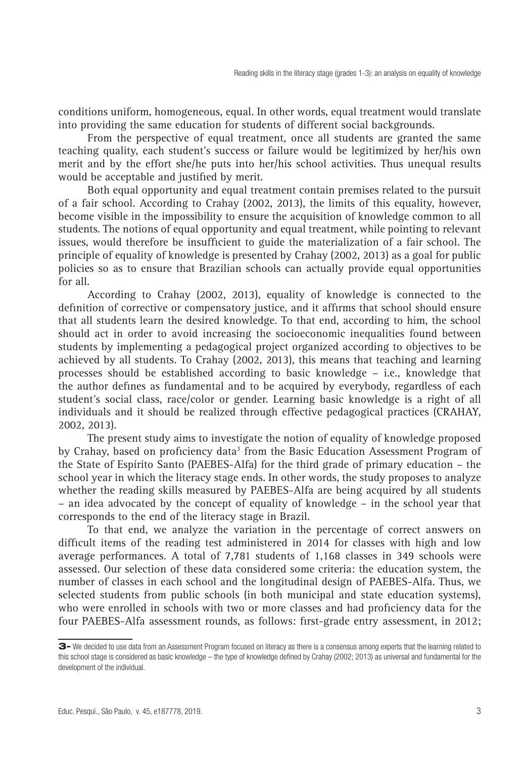conditions uniform, homogeneous, equal. In other words, equal treatment would translate into providing the same education for students of different social backgrounds.

From the perspective of equal treatment, once all students are granted the same teaching quality, each student's success or failure would be legitimized by her/his own merit and by the effort she/he puts into her/his school activities. Thus unequal results would be acceptable and justified by merit.

Both equal opportunity and equal treatment contain premises related to the pursuit of a fair school. According to Crahay (2002, 2013), the limits of this equality, however, become visible in the impossibility to ensure the acquisition of knowledge common to all students. The notions of equal opportunity and equal treatment, while pointing to relevant issues, would therefore be insufficient to guide the materialization of a fair school. The principle of equality of knowledge is presented by Crahay (2002, 2013) as a goal for public policies so as to ensure that Brazilian schools can actually provide equal opportunities for all.

According to Crahay (2002, 2013), equality of knowledge is connected to the definition of corrective or compensatory justice, and it affirms that school should ensure that all students learn the desired knowledge. To that end, according to him, the school should act in order to avoid increasing the socioeconomic inequalities found between students by implementing a pedagogical project organized according to objectives to be achieved by all students. To Crahay (2002, 2013), this means that teaching and learning processes should be established according to basic knowledge – i.e., knowledge that the author defines as fundamental and to be acquired by everybody, regardless of each student's social class, race/color or gender. Learning basic knowledge is a right of all individuals and it should be realized through effective pedagogical practices (CRAHAY, 2002, 2013).

The present study aims to investigate the notion of equality of knowledge proposed by Crahay, based on proficiency data<sup>3</sup> from the Basic Education Assessment Program of the State of Espírito Santo (PAEBES-Alfa) for the third grade of primary education – the school year in which the literacy stage ends. In other words, the study proposes to analyze whether the reading skills measured by PAEBES-Alfa are being acquired by all students – an idea advocated by the concept of equality of knowledge – in the school year that corresponds to the end of the literacy stage in Brazil.

To that end, we analyze the variation in the percentage of correct answers on difficult items of the reading test administered in 2014 for classes with high and low average performances. A total of 7,781 students of 1,168 classes in 349 schools were assessed. Our selection of these data considered some criteria: the education system, the number of classes in each school and the longitudinal design of PAEBES-Alfa. Thus, we selected students from public schools (in both municipal and state education systems), who were enrolled in schools with two or more classes and had proficiency data for the four PAEBES-Alfa assessment rounds, as follows: first-grade entry assessment, in 2012;

<sup>3-</sup> We decided to use data from an Assessment Program focused on literacy as there is a consensus among experts that the learning related to this school stage is considered as basic knowledge – the type of knowledge defined by Crahay (2002; 2013) as universal and fundamental for the development of the individual.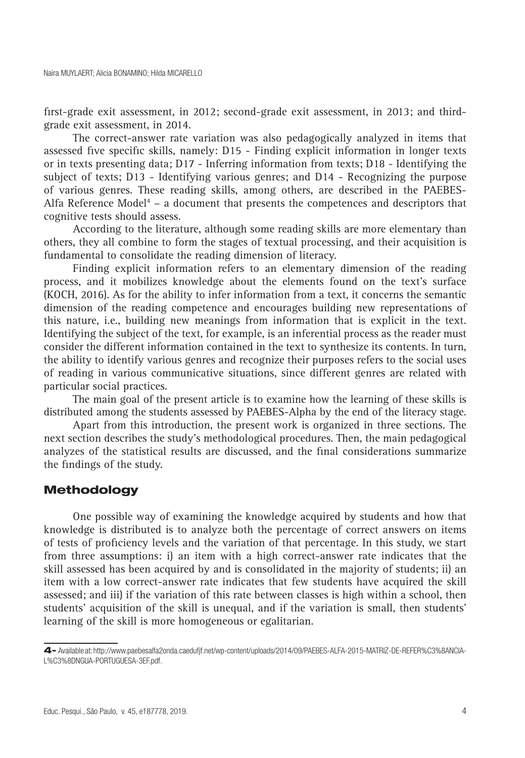first-grade exit assessment, in 2012; second-grade exit assessment, in 2013; and thirdgrade exit assessment, in 2014.

The correct-answer rate variation was also pedagogically analyzed in items that assessed five specific skills, namely: D15 - Finding explicit information in longer texts or in texts presenting data; D17 - Inferring information from texts; D18 - Identifying the subject of texts; D13 - Identifying various genres; and D14 - Recognizing the purpose of various genres. These reading skills, among others, are described in the PAEBES-Alfa Reference Model<sup>4</sup> – a document that presents the competences and descriptors that cognitive tests should assess.

According to the literature, although some reading skills are more elementary than others, they all combine to form the stages of textual processing, and their acquisition is fundamental to consolidate the reading dimension of literacy.

Finding explicit information refers to an elementary dimension of the reading process, and it mobilizes knowledge about the elements found on the text's surface (KOCH, 2016). As for the ability to infer information from a text, it concerns the semantic dimension of the reading competence and encourages building new representations of this nature, i.e., building new meanings from information that is explicit in the text. Identifying the subject of the text, for example, is an inferential process as the reader must consider the different information contained in the text to synthesize its contents. In turn, the ability to identify various genres and recognize their purposes refers to the social uses of reading in various communicative situations, since different genres are related with particular social practices.

The main goal of the present article is to examine how the learning of these skills is distributed among the students assessed by PAEBES-Alpha by the end of the literacy stage.

Apart from this introduction, the present work is organized in three sections. The next section describes the study's methodological procedures. Then, the main pedagogical analyzes of the statistical results are discussed, and the final considerations summarize the findings of the study.

#### Methodology

One possible way of examining the knowledge acquired by students and how that knowledge is distributed is to analyze both the percentage of correct answers on items of tests of proficiency levels and the variation of that percentage. In this study, we start from three assumptions: i) an item with a high correct-answer rate indicates that the skill assessed has been acquired by and is consolidated in the majority of students; ii) an item with a low correct-answer rate indicates that few students have acquired the skill assessed; and iii) if the variation of this rate between classes is high within a school, then students' acquisition of the skill is unequal, and if the variation is small, then students' learning of the skill is more homogeneous or egalitarian.

<sup>4-</sup> Available at: http://www.paebesalfa2onda.caedufjf.net/wp-content/uploads/2014/09/PAEBES-ALFA-2015-MATRIZ-DE-REFER%C3%8ANCIA-L%C3%8DNGUA-PORTUGUESA-3EF.pdf.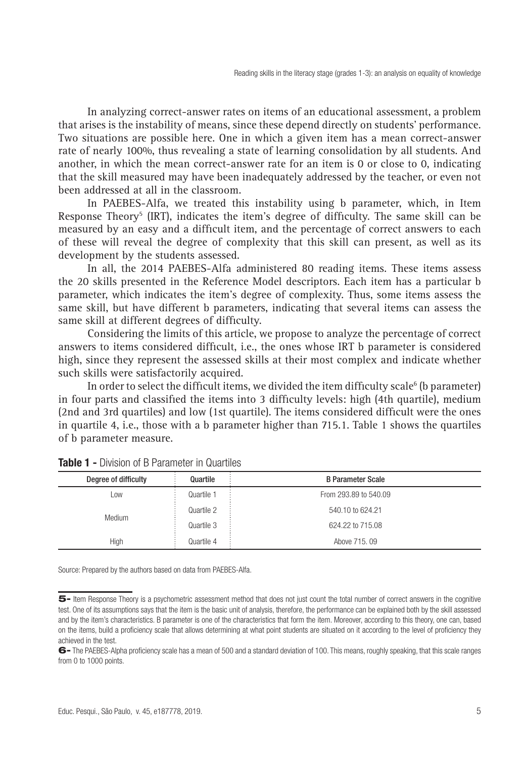In analyzing correct-answer rates on items of an educational assessment, a problem that arises is the instability of means, since these depend directly on students' performance. Two situations are possible here. One in which a given item has a mean correct-answer rate of nearly 100%, thus revealing a state of learning consolidation by all students. And another, in which the mean correct-answer rate for an item is 0 or close to 0, indicating that the skill measured may have been inadequately addressed by the teacher, or even not been addressed at all in the classroom.

In PAEBES-Alfa, we treated this instability using b parameter, which, in Item Response Theory<sup>5</sup> (IRT), indicates the item's degree of difficulty. The same skill can be measured by an easy and a difficult item, and the percentage of correct answers to each of these will reveal the degree of complexity that this skill can present, as well as its development by the students assessed.

In all, the 2014 PAEBES-Alfa administered 80 reading items. These items assess the 20 skills presented in the Reference Model descriptors. Each item has a particular b parameter, which indicates the item's degree of complexity. Thus, some items assess the same skill, but have different b parameters, indicating that several items can assess the same skill at different degrees of difficulty.

Considering the limits of this article, we propose to analyze the percentage of correct answers to items considered difficult, i.e., the ones whose IRT b parameter is considered high, since they represent the assessed skills at their most complex and indicate whether such skills were satisfactorily acquired.

In order to select the difficult items, we divided the item difficulty scale<sup>6</sup> (b parameter) in four parts and classified the items into 3 difficulty levels: high (4th quartile), medium (2nd and 3rd quartiles) and low (1st quartile). The items considered difficult were the ones in quartile 4, i.e., those with a b parameter higher than 715.1. Table 1 shows the quartiles of b parameter measure.

| Degree of difficulty                       | Quartile   | <b>B</b> Parameter Scale |
|--------------------------------------------|------------|--------------------------|
| Quartile 1<br>From 293.89 to 540.09<br>Low |            |                          |
| Medium                                     | Quartile 2 | 540.10 to 624.21         |
|                                            | Quartile 3 | 624.22 to 715.08         |
| High<br>Quartile 4                         |            | Above 715, 09            |

Source: Prepared by the authors based on data from PAEBES-Alfa.

<sup>5-</sup> Item Response Theory is a psychometric assessment method that does not just count the total number of correct answers in the cognitive test. One of its assumptions says that the item is the basic unit of analysis, therefore, the performance can be explained both by the skill assessed and by the item's characteristics. B parameter is one of the characteristics that form the item. Moreover, according to this theory, one can, based on the items, build a proficiency scale that allows determining at what point students are situated on it according to the level of proficiency they achieved in the test.

<sup>6-</sup> The PAEBES-Alpha proficiency scale has a mean of 500 and a standard deviation of 100. This means, roughly speaking, that this scale ranges from 0 to 1000 points.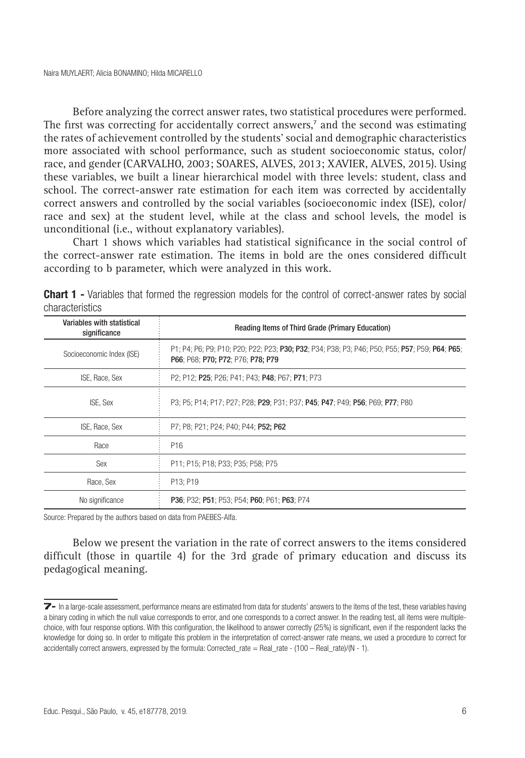Before analyzing the correct answer rates, two statistical procedures were performed. The first was correcting for accidentally correct answers,<sup>7</sup> and the second was estimating the rates of achievement controlled by the students' social and demographic characteristics more associated with school performance, such as student socioeconomic status, color/ race, and gender (CARVALHO, 2003; SOARES, ALVES, 2013; XAVIER, ALVES, 2015). Using these variables, we built a linear hierarchical model with three levels: student, class and school. The correct-answer rate estimation for each item was corrected by accidentally correct answers and controlled by the social variables (socioeconomic index (ISE), color/ race and sex) at the student level, while at the class and school levels, the model is unconditional (i.e., without explanatory variables).

Chart 1 shows which variables had statistical significance in the social control of the correct-answer rate estimation. The items in bold are the ones considered difficult according to b parameter, which were analyzed in this work.

| Variables with statistical<br>significance | Reading Items of Third Grade (Primary Education)                                                                                    |
|--------------------------------------------|-------------------------------------------------------------------------------------------------------------------------------------|
| Socioeconomic Index (ISE)                  | P1; P4; P6; P9; P10; P20; P22; P23; P30; P32; P34; P38; P3; P46; P50; P55; P57; P59; P64; P65;<br>P66; P68; P70; P72; P76; P78; P79 |
| ISE, Race, Sex                             | P2; P12; P25; P26; P41; P43; P48; P67; P71; P73                                                                                     |
| ISE, Sex                                   | P3; P5; P14; P17; P27; P28; P29; P31; P37; P45; P47; P49; P56; P69; P77; P80                                                        |
| ISE, Race, Sex                             | P7; P8; P21; P24; P40; P44; P52; P62                                                                                                |
| Race                                       | P <sub>16</sub>                                                                                                                     |
| Sex                                        | P11; P15; P18; P33; P35; P58; P75                                                                                                   |
| Race, Sex                                  | P13; P19                                                                                                                            |
| No significance                            | <b>P36</b> , P32; <b>P51</b> ; P53; P54; <b>P60</b> ; P61; <b>P63</b> ; P74                                                         |

**Chart 1 -** Variables that formed the regression models for the control of correct-answer rates by social characteristics

Source: Prepared by the authors based on data from PAEBES-Alfa.

Below we present the variation in the rate of correct answers to the items considered difficult (those in quartile 4) for the 3rd grade of primary education and discuss its pedagogical meaning.

<sup>7-</sup> In a large-scale assessment, performance means are estimated from data for students' answers to the items of the test, these variables having a binary coding in which the null value corresponds to error, and one corresponds to a correct answer. In the reading test, all items were multiplechoice, with four response options. With this configuration, the likelihood to answer correctly (25%) is significant, even if the respondent lacks the knowledge for doing so. In order to mitigate this problem in the interpretation of correct-answer rate means, we used a procedure to correct for accidentally correct answers, expressed by the formula: Corrected\_rate = Real\_rate - (100 – Real\_rate)/(N - 1).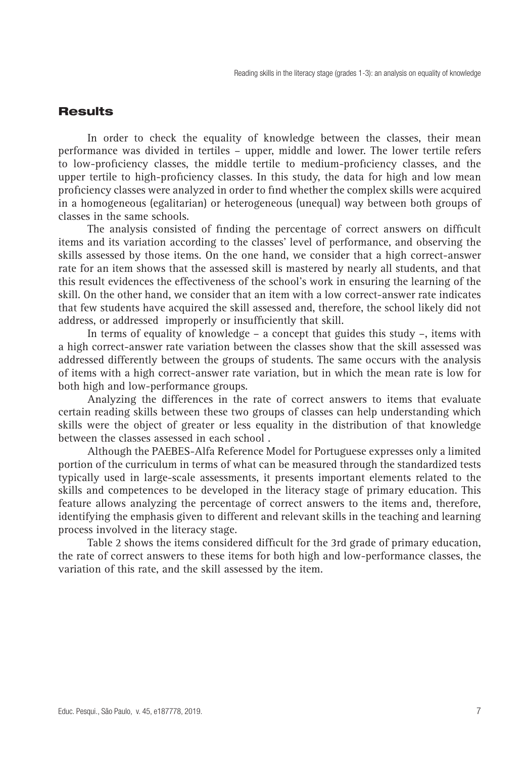#### Results

In order to check the equality of knowledge between the classes, their mean performance was divided in tertiles – upper, middle and lower. The lower tertile refers to low-proficiency classes, the middle tertile to medium-proficiency classes, and the upper tertile to high-proficiency classes. In this study, the data for high and low mean proficiency classes were analyzed in order to find whether the complex skills were acquired in a homogeneous (egalitarian) or heterogeneous (unequal) way between both groups of classes in the same schools.

The analysis consisted of finding the percentage of correct answers on difficult items and its variation according to the classes' level of performance, and observing the skills assessed by those items. On the one hand, we consider that a high correct-answer rate for an item shows that the assessed skill is mastered by nearly all students, and that this result evidences the effectiveness of the school's work in ensuring the learning of the skill. On the other hand, we consider that an item with a low correct-answer rate indicates that few students have acquired the skill assessed and, therefore, the school likely did not address, or addressed improperly or insufficiently that skill.

In terms of equality of knowledge – a concept that guides this study –, items with a high correct-answer rate variation between the classes show that the skill assessed was addressed differently between the groups of students. The same occurs with the analysis of items with a high correct-answer rate variation, but in which the mean rate is low for both high and low-performance groups.

Analyzing the differences in the rate of correct answers to items that evaluate certain reading skills between these two groups of classes can help understanding which skills were the object of greater or less equality in the distribution of that knowledge between the classes assessed in each school .

Although the PAEBES-Alfa Reference Model for Portuguese expresses only a limited portion of the curriculum in terms of what can be measured through the standardized tests typically used in large-scale assessments, it presents important elements related to the skills and competences to be developed in the literacy stage of primary education. This feature allows analyzing the percentage of correct answers to the items and, therefore, identifying the emphasis given to different and relevant skills in the teaching and learning process involved in the literacy stage.

Table 2 shows the items considered difficult for the 3rd grade of primary education, the rate of correct answers to these items for both high and low-performance classes, the variation of this rate, and the skill assessed by the item.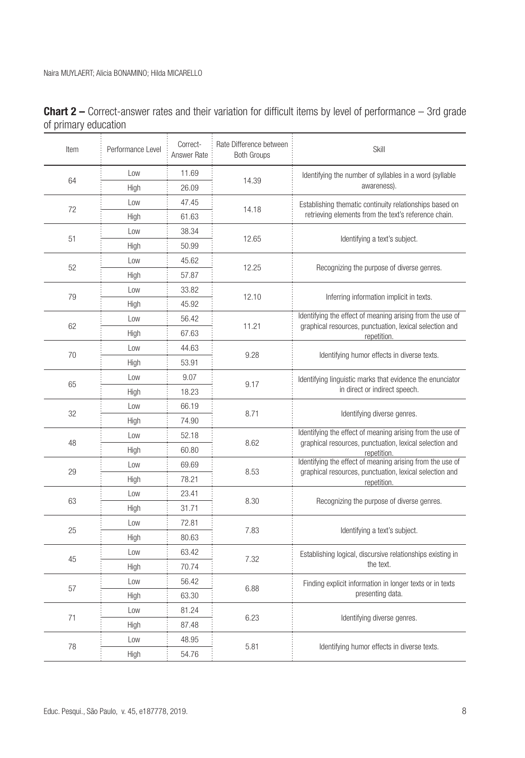| Item | Performance Level | Correct-<br>Answer Rate | Rate Difference between<br><b>Both Groups</b> | Skill                                                                  |  |  |
|------|-------------------|-------------------------|-----------------------------------------------|------------------------------------------------------------------------|--|--|
|      | Low               | 11.69                   |                                               | Identifying the number of syllables in a word (syllable                |  |  |
| 64   | High              | 26.09                   | 14.39                                         | awareness).                                                            |  |  |
| 72   | Low               | 47.45                   | 14.18                                         | Establishing thematic continuity relationships based on                |  |  |
|      | High              | 61.63                   |                                               | retrieving elements from the text's reference chain.                   |  |  |
|      | Low               | 38.34                   |                                               |                                                                        |  |  |
| 51   | High              | 50.99                   | 12.65                                         | Identifying a text's subject.                                          |  |  |
| 52   | Low               | 45.62                   | 12.25                                         |                                                                        |  |  |
|      | High              | 57.87                   |                                               | Recognizing the purpose of diverse genres.                             |  |  |
| 79   | Low               | 33.82                   |                                               |                                                                        |  |  |
|      | High              | 45.92                   | 12.10                                         | Inferring information implicit in texts.                               |  |  |
|      | Low               | 56.42                   |                                               | Identifying the effect of meaning arising from the use of              |  |  |
| 62   | High              | 67.63                   | 11.21                                         | graphical resources, punctuation, lexical selection and<br>repetition. |  |  |
|      | Low               | 44.63                   |                                               | Identifying humor effects in diverse texts.                            |  |  |
| 70   | High              | 53.91                   | 9.28                                          |                                                                        |  |  |
|      | Low               | 9.07                    |                                               | Identifying linguistic marks that evidence the enunciator              |  |  |
| 65   | High              | 18.23                   | 9.17                                          | in direct or indirect speech.                                          |  |  |
|      | Low               | 66.19                   |                                               |                                                                        |  |  |
| 32   | High              | 74.90                   | 8.71                                          | Identifying diverse genres.                                            |  |  |
|      | Low               | 52.18                   |                                               | Identifying the effect of meaning arising from the use of              |  |  |
| 48   | High              | 60.80                   | 8.62                                          | graphical resources, punctuation, lexical selection and<br>repetition. |  |  |
|      | Low               | 69.69                   |                                               | Identifying the effect of meaning arising from the use of              |  |  |
| 29   | High              | 78.21                   | 8.53                                          | graphical resources, punctuation, lexical selection and<br>repetition. |  |  |
|      | Low               | 23.41                   |                                               |                                                                        |  |  |
| 63   | High              | 31.71                   | 8.30                                          | Recognizing the purpose of diverse genres.                             |  |  |
|      | Low               | 72.81                   |                                               |                                                                        |  |  |
| 25   | High              | 80.63                   | 7.83                                          | Identifying a text's subject.                                          |  |  |
|      | Low               | 63.42                   |                                               | Establishing logical, discursive relationships existing in             |  |  |
| 45   | High              | 70.74                   | 7.32                                          | the text.                                                              |  |  |
|      | Low               | 56.42                   |                                               | Finding explicit information in longer texts or in texts               |  |  |
| 57   | High              | 63.30                   | 6.88                                          | presenting data.                                                       |  |  |
|      | Low               | 81.24                   |                                               |                                                                        |  |  |
| 71   | High              | 87.48                   | 6.23                                          | Identifying diverse genres.                                            |  |  |
|      | Low               | 48.95                   |                                               |                                                                        |  |  |
| 78   | High              | 54.76                   | 5.81                                          | Identifying humor effects in diverse texts.                            |  |  |

|                      |  |  | <b>Chart 2 –</b> Correct-answer rates and their variation for difficult items by level of performance – 3rd grade |  |
|----------------------|--|--|-------------------------------------------------------------------------------------------------------------------|--|
| of primary education |  |  |                                                                                                                   |  |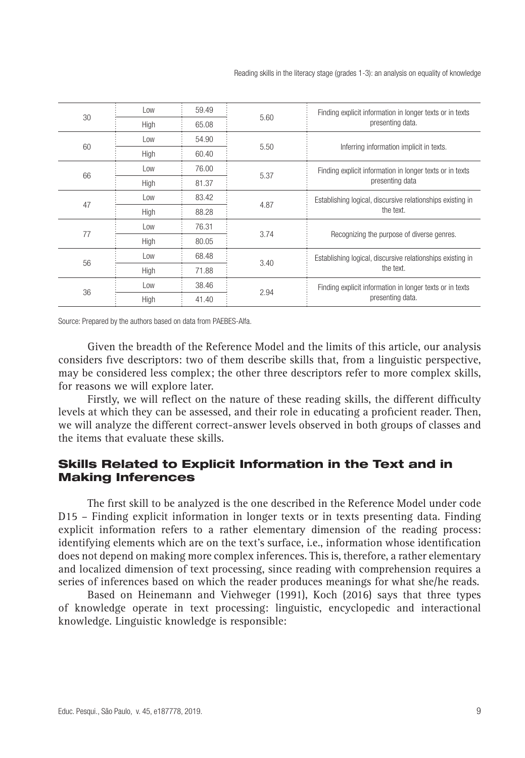Reading skills in the literacy stage (grades 1-3): an analysis on equality of knowledge

| Low<br>30<br>High |      | 59.49 | 5.60 | Finding explicit information in longer texts or in texts                |  |  |
|-------------------|------|-------|------|-------------------------------------------------------------------------|--|--|
|                   |      | 65.08 |      | presenting data.                                                        |  |  |
| Low               |      | 54.90 | 5.50 | Inferring information implicit in texts.                                |  |  |
| 60                | High | 60.40 |      |                                                                         |  |  |
| 66                | Low  | 76.00 | 5.37 | Finding explicit information in longer texts or in texts                |  |  |
|                   | High | 81.37 |      | presenting data                                                         |  |  |
| 47                | Low  | 83.42 | 4.87 | Establishing logical, discursive relationships existing in<br>the text. |  |  |
| High              |      | 88.28 |      |                                                                         |  |  |
| Low               |      | 76.31 |      |                                                                         |  |  |
| 77<br>High        |      | 80.05 | 3.74 | Recognizing the purpose of diverse genres.                              |  |  |
| Low<br>56<br>High |      | 68.48 |      | Establishing logical, discursive relationships existing in<br>the text. |  |  |
|                   |      | 71.88 | 3.40 |                                                                         |  |  |
| 36                | Low  | 38.46 |      | Finding explicit information in longer texts or in texts                |  |  |
|                   | High | 41.40 | 2.94 | presenting data.                                                        |  |  |

Source: Prepared by the authors based on data from PAEBES-Alfa.

Given the breadth of the Reference Model and the limits of this article, our analysis considers five descriptors: two of them describe skills that, from a linguistic perspective, may be considered less complex; the other three descriptors refer to more complex skills, for reasons we will explore later.

Firstly, we will reflect on the nature of these reading skills, the different difficulty levels at which they can be assessed, and their role in educating a proficient reader. Then, we will analyze the different correct-answer levels observed in both groups of classes and the items that evaluate these skills.

## Skills Related to Explicit Information in the Text and in Making Inferences

The first skill to be analyzed is the one described in the Reference Model under code D15 – Finding explicit information in longer texts or in texts presenting data. Finding explicit information refers to a rather elementary dimension of the reading process: identifying elements which are on the text's surface, i.e., information whose identification does not depend on making more complex inferences. This is, therefore, a rather elementary and localized dimension of text processing, since reading with comprehension requires a series of inferences based on which the reader produces meanings for what she/he reads.

Based on Heinemann and Viehweger (1991), Koch (2016) says that three types of knowledge operate in text processing: linguistic, encyclopedic and interactional knowledge. Linguistic knowledge is responsible: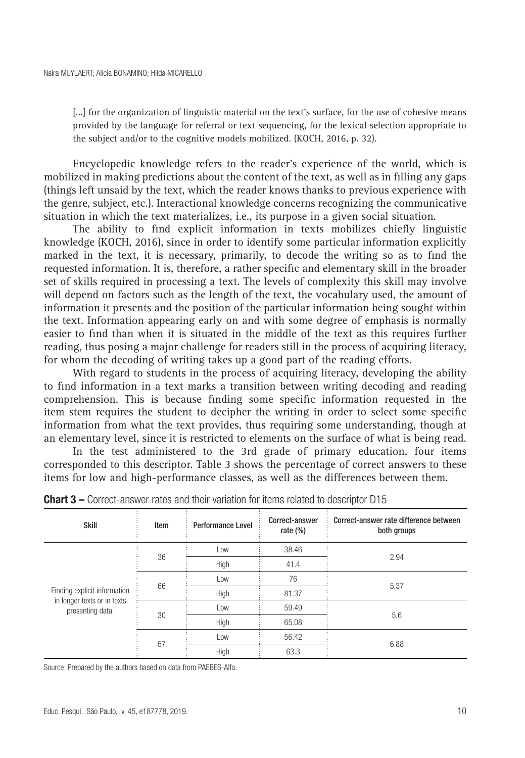[...] for the organization of linguistic material on the text's surface, for the use of cohesive means provided by the language for referral or text sequencing, for the lexical selection appropriate to the subject and/or to the cognitive models mobilized. (KOCH, 2016, p. 32).

Encyclopedic knowledge refers to the reader's experience of the world, which is mobilized in making predictions about the content of the text, as well as in filling any gaps (things left unsaid by the text, which the reader knows thanks to previous experience with the genre, subject, etc.). Interactional knowledge concerns recognizing the communicative situation in which the text materializes, i.e., its purpose in a given social situation.

The ability to find explicit information in texts mobilizes chiefly linguistic knowledge (KOCH, 2016), since in order to identify some particular information explicitly marked in the text, it is necessary, primarily, to decode the writing so as to find the requested information. It is, therefore, a rather specific and elementary skill in the broader set of skills required in processing a text. The levels of complexity this skill may involve will depend on factors such as the length of the text, the vocabulary used, the amount of information it presents and the position of the particular information being sought within the text. Information appearing early on and with some degree of emphasis is normally easier to find than when it is situated in the middle of the text as this requires further reading, thus posing a major challenge for readers still in the process of acquiring literacy, for whom the decoding of writing takes up a good part of the reading efforts.

With regard to students in the process of acquiring literacy, developing the ability to find information in a text marks a transition between writing decoding and reading comprehension. This is because finding some specific information requested in the item stem requires the student to decipher the writing in order to select some specific information from what the text provides, thus requiring some understanding, though at an elementary level, since it is restricted to elements on the surface of what is being read.

In the test administered to the 3rd grade of primary education, four items corresponded to this descriptor. Table 3 shows the percentage of correct answers to these items for low and high-performance classes, as well as the differences between them.

| <b>Skill</b>                                                                    | Item | <b>Performance Level</b> | Correct-answer<br>rate $(\%)$ | Correct-answer rate difference between<br>both groups |  |
|---------------------------------------------------------------------------------|------|--------------------------|-------------------------------|-------------------------------------------------------|--|
|                                                                                 | 36   | Low                      | 38.46                         | 2.94                                                  |  |
| Finding explicit information<br>in longer texts or in texts<br>presenting data. |      | High                     | 41.4                          |                                                       |  |
|                                                                                 | 66   | Low                      | 76                            | 5.37                                                  |  |
|                                                                                 |      | High                     | 81.37                         |                                                       |  |
|                                                                                 | 30   | Low                      | 59.49                         | 5.6                                                   |  |
|                                                                                 |      | High                     | 65.08                         |                                                       |  |
|                                                                                 |      | Low                      | 56.42                         |                                                       |  |
|                                                                                 | 57   | High                     | 63.3                          | 6.88                                                  |  |

**Chart 3 –** Correct-answer rates and their variation for items related to descriptor D15

Source: Prepared by the authors based on data from PAEBES-Alfa.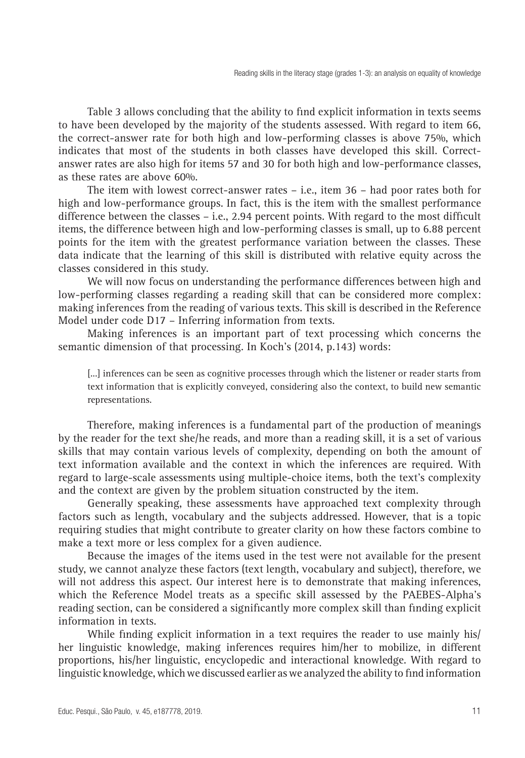Table 3 allows concluding that the ability to find explicit information in texts seems to have been developed by the majority of the students assessed. With regard to item 66, the correct-answer rate for both high and low-performing classes is above 75%, which indicates that most of the students in both classes have developed this skill. Correctanswer rates are also high for items 57 and 30 for both high and low-performance classes, as these rates are above 60%.

The item with lowest correct-answer rates – i.e., item 36 – had poor rates both for high and low-performance groups. In fact, this is the item with the smallest performance difference between the classes – i.e., 2.94 percent points. With regard to the most difficult items, the difference between high and low-performing classes is small, up to 6.88 percent points for the item with the greatest performance variation between the classes. These data indicate that the learning of this skill is distributed with relative equity across the classes considered in this study.

We will now focus on understanding the performance differences between high and low-performing classes regarding a reading skill that can be considered more complex: making inferences from the reading of various texts. This skill is described in the Reference Model under code D17 – Inferring information from texts.

Making inferences is an important part of text processing which concerns the semantic dimension of that processing. In Koch's (2014, p.143) words:

[...] inferences can be seen as cognitive processes through which the listener or reader starts from text information that is explicitly conveyed, considering also the context, to build new semantic representations.

Therefore, making inferences is a fundamental part of the production of meanings by the reader for the text she/he reads, and more than a reading skill, it is a set of various skills that may contain various levels of complexity, depending on both the amount of text information available and the context in which the inferences are required. With regard to large-scale assessments using multiple-choice items, both the text's complexity and the context are given by the problem situation constructed by the item.

Generally speaking, these assessments have approached text complexity through factors such as length, vocabulary and the subjects addressed. However, that is a topic requiring studies that might contribute to greater clarity on how these factors combine to make a text more or less complex for a given audience.

Because the images of the items used in the test were not available for the present study, we cannot analyze these factors (text length, vocabulary and subject), therefore, we will not address this aspect. Our interest here is to demonstrate that making inferences, which the Reference Model treats as a specific skill assessed by the PAEBES-Alpha's reading section, can be considered a significantly more complex skill than finding explicit information in texts.

While finding explicit information in a text requires the reader to use mainly his/ her linguistic knowledge, making inferences requires him/her to mobilize, in different proportions, his/her linguistic, encyclopedic and interactional knowledge. With regard to linguistic knowledge, which we discussed earlier as we analyzed the ability to find information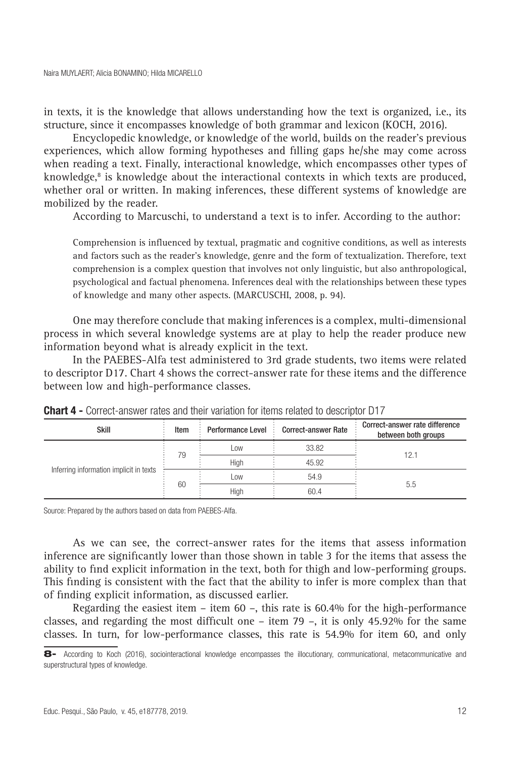in texts, it is the knowledge that allows understanding how the text is organized, i.e., its structure, since it encompasses knowledge of both grammar and lexicon (KOCH, 2016).

Encyclopedic knowledge, or knowledge of the world, builds on the reader's previous experiences, which allow forming hypotheses and filling gaps he/she may come across when reading a text. Finally, interactional knowledge, which encompasses other types of knowledge,<sup>8</sup> is knowledge about the interactional contexts in which texts are produced, whether oral or written. In making inferences, these different systems of knowledge are mobilized by the reader.

According to Marcuschi, to understand a text is to infer. According to the author:

Comprehension is influenced by textual, pragmatic and cognitive conditions, as well as interests and factors such as the reader's knowledge, genre and the form of textualization. Therefore, text comprehension is a complex question that involves not only linguistic, but also anthropological, psychological and factual phenomena. Inferences deal with the relationships between these types of knowledge and many other aspects. (MARCUSCHI, 2008, p. 94).

One may therefore conclude that making inferences is a complex, multi-dimensional process in which several knowledge systems are at play to help the reader produce new information beyond what is already explicit in the text.

In the PAEBES-Alfa test administered to 3rd grade students, two items were related to descriptor D17. Chart 4 shows the correct-answer rate for these items and the difference between low and high-performance classes.

| <b>Skill</b>                            | Item | <b>Performance Level</b> | <b>Correct-answer Rate</b> | Correct-answer rate difference<br>between both groups |
|-----------------------------------------|------|--------------------------|----------------------------|-------------------------------------------------------|
| Inferring information implicit in texts | 79   | Low                      | 33.82                      | 12.1                                                  |
|                                         |      | High                     | 45.92                      |                                                       |
|                                         | 60   | Low                      | 54.9                       | 5.5                                                   |
|                                         |      | High                     | 60.4                       |                                                       |

**Chart 4 -** Correct-answer rates and their variation for items related to descriptor D17

Source: Prepared by the authors based on data from PAEBES-Alfa.

As we can see, the correct-answer rates for the items that assess information inference are significantly lower than those shown in table 3 for the items that assess the ability to find explicit information in the text, both for thigh and low-performing groups. This finding is consistent with the fact that the ability to infer is more complex than that of finding explicit information, as discussed earlier.

Regarding the easiest item – item  $60$  –, this rate is  $60.4\%$  for the high-performance classes, and regarding the most difficult one – item 79 –, it is only 45.92% for the same classes. In turn, for low-performance classes, this rate is 54.9% for item 60, and only

<sup>8-</sup> According to Koch (2016), sociointeractional knowledge encompasses the illocutionary, communicational, metacommunicative and superstructural types of knowledge.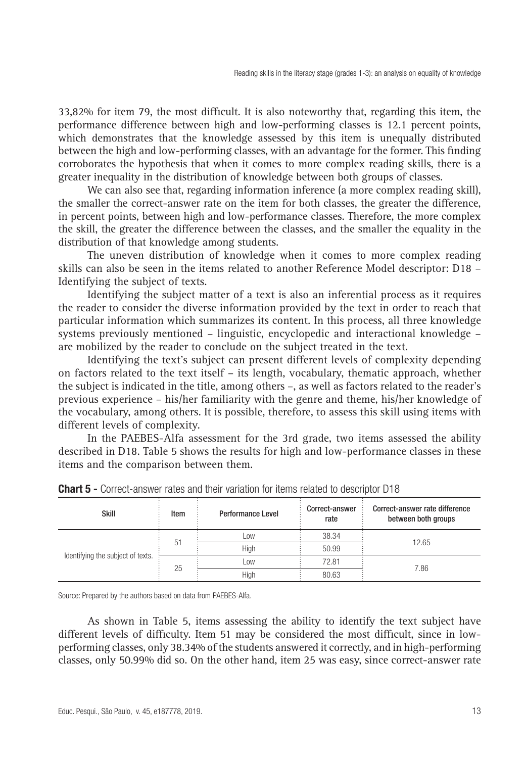33,82% for item 79, the most difficult. It is also noteworthy that, regarding this item, the performance difference between high and low-performing classes is 12.1 percent points, which demonstrates that the knowledge assessed by this item is unequally distributed between the high and low-performing classes, with an advantage for the former. This finding corroborates the hypothesis that when it comes to more complex reading skills, there is a greater inequality in the distribution of knowledge between both groups of classes.

We can also see that, regarding information inference (a more complex reading skill), the smaller the correct-answer rate on the item for both classes, the greater the difference, in percent points, between high and low-performance classes. Therefore, the more complex the skill, the greater the difference between the classes, and the smaller the equality in the distribution of that knowledge among students.

The uneven distribution of knowledge when it comes to more complex reading skills can also be seen in the items related to another Reference Model descriptor: D18 – Identifying the subject of texts.

Identifying the subject matter of a text is also an inferential process as it requires the reader to consider the diverse information provided by the text in order to reach that particular information which summarizes its content. In this process, all three knowledge systems previously mentioned – linguistic, encyclopedic and interactional knowledge – are mobilized by the reader to conclude on the subject treated in the text.

Identifying the text's subject can present different levels of complexity depending on factors related to the text itself – its length, vocabulary, thematic approach, whether the subject is indicated in the title, among others –, as well as factors related to the reader's previous experience – his/her familiarity with the genre and theme, his/her knowledge of the vocabulary, among others. It is possible, therefore, to assess this skill using items with different levels of complexity.

In the PAEBES-Alfa assessment for the 3rd grade, two items assessed the ability described in D18. Table 5 shows the results for high and low-performance classes in these items and the comparison between them.

| <b>Skill</b>                      | Item | <b>Performance Level</b> | Correct-answer<br>rate | Correct-answer rate difference<br>between both groups |  |
|-----------------------------------|------|--------------------------|------------------------|-------------------------------------------------------|--|
| Identifying the subject of texts. | 51   | Low                      | 38.34                  |                                                       |  |
|                                   |      | High                     | 50.99                  | 12.65                                                 |  |
|                                   | 25   | Low                      | 72.81                  |                                                       |  |
|                                   |      | High                     | 80.63                  | 7.86                                                  |  |

**Chart 5 -** Correct-answer rates and their variation for items related to descriptor D18

Source: Prepared by the authors based on data from PAEBES-Alfa.

As shown in Table 5, items assessing the ability to identify the text subject have different levels of difficulty. Item 51 may be considered the most difficult, since in lowperforming classes, only 38.34% of the students answered it correctly, and in high-performing classes, only 50.99% did so. On the other hand, item 25 was easy, since correct-answer rate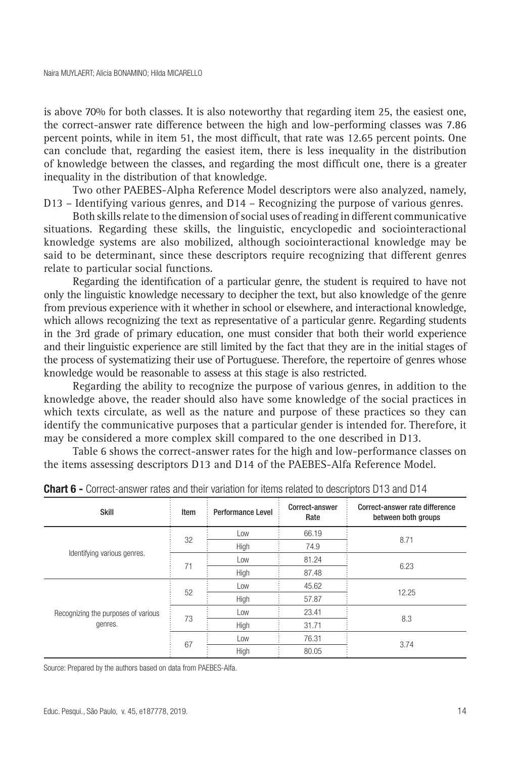is above 70% for both classes. It is also noteworthy that regarding item 25, the easiest one, the correct-answer rate difference between the high and low-performing classes was 7.86 percent points, while in item 51, the most difficult, that rate was 12.65 percent points. One can conclude that, regarding the easiest item, there is less inequality in the distribution of knowledge between the classes, and regarding the most difficult one, there is a greater inequality in the distribution of that knowledge.

Two other PAEBES-Alpha Reference Model descriptors were also analyzed, namely, D13 – Identifying various genres, and D14 – Recognizing the purpose of various genres.

Both skills relate to the dimension of social uses of reading in different communicative situations. Regarding these skills, the linguistic, encyclopedic and sociointeractional knowledge systems are also mobilized, although sociointeractional knowledge may be said to be determinant, since these descriptors require recognizing that different genres relate to particular social functions.

Regarding the identification of a particular genre, the student is required to have not only the linguistic knowledge necessary to decipher the text, but also knowledge of the genre from previous experience with it whether in school or elsewhere, and interactional knowledge, which allows recognizing the text as representative of a particular genre. Regarding students in the 3rd grade of primary education, one must consider that both their world experience and their linguistic experience are still limited by the fact that they are in the initial stages of the process of systematizing their use of Portuguese. Therefore, the repertoire of genres whose knowledge would be reasonable to assess at this stage is also restricted.

Regarding the ability to recognize the purpose of various genres, in addition to the knowledge above, the reader should also have some knowledge of the social practices in which texts circulate, as well as the nature and purpose of these practices so they can identify the communicative purposes that a particular gender is intended for. Therefore, it may be considered a more complex skill compared to the one described in D13.

Table 6 shows the correct-answer rates for the high and low-performance classes on the items assessing descriptors D13 and D14 of the PAEBES-Alfa Reference Model.

| <b>Skill</b>                                   | Item | <b>Performance Level</b> | Correct-answer<br>Rate | Correct-answer rate difference<br>between both groups |
|------------------------------------------------|------|--------------------------|------------------------|-------------------------------------------------------|
|                                                |      | Low                      | 66.19                  |                                                       |
|                                                | 32   | High                     | 74.9                   | 8.71                                                  |
| Identifying various genres.                    |      | Low                      | 81.24                  | 6.23                                                  |
|                                                | 71   | High                     | 87.48                  |                                                       |
| Recognizing the purposes of various<br>genres. | 52   | Low                      | 45.62                  | 12.25                                                 |
|                                                |      | High                     | 57.87                  |                                                       |
|                                                | 73   | Low                      | 23.41                  |                                                       |
|                                                |      | High                     | 31.71                  | 8.3                                                   |
|                                                |      | Low                      | 76.31                  |                                                       |
|                                                | 67   | High                     | 80.05                  | 3.74                                                  |

**Chart 6 -** Correct-answer rates and their variation for items related to descriptors D13 and D14

Source: Prepared by the authors based on data from PAEBES-Alfa.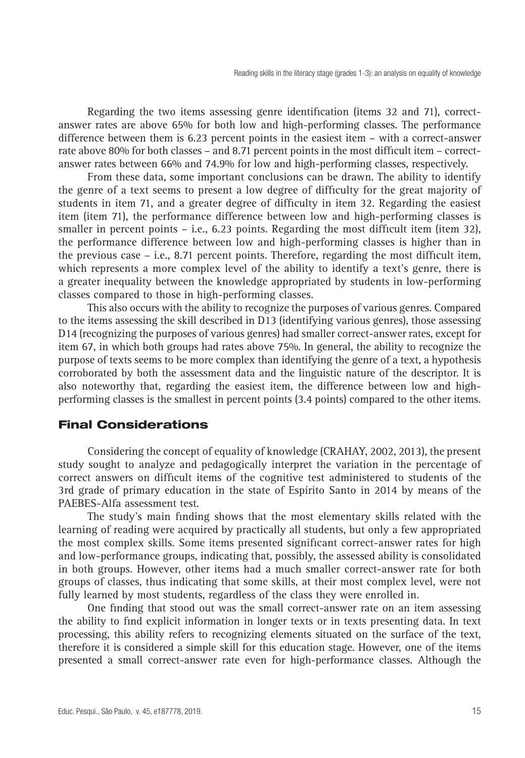Regarding the two items assessing genre identification (items 32 and 71), correctanswer rates are above 65% for both low and high-performing classes. The performance difference between them is 6.23 percent points in the easiest item – with a correct-answer rate above 80% for both classes – and 8.71 percent points in the most difficult item – correctanswer rates between 66% and 74.9% for low and high-performing classes, respectively.

From these data, some important conclusions can be drawn. The ability to identify the genre of a text seems to present a low degree of difficulty for the great majority of students in item 71, and a greater degree of difficulty in item 32. Regarding the easiest item (item 71), the performance difference between low and high-performing classes is smaller in percent points  $-$  i.e., 6.23 points. Regarding the most difficult item (item 32), the performance difference between low and high-performing classes is higher than in the previous case – i.e., 8.71 percent points. Therefore, regarding the most difficult item, which represents a more complex level of the ability to identify a text's genre, there is a greater inequality between the knowledge appropriated by students in low-performing classes compared to those in high-performing classes.

This also occurs with the ability to recognize the purposes of various genres. Compared to the items assessing the skill described in D13 (identifying various genres), those assessing D14 (recognizing the purposes of various genres) had smaller correct-answer rates, except for item 67, in which both groups had rates above 75%. In general, the ability to recognize the purpose of texts seems to be more complex than identifying the genre of a text, a hypothesis corroborated by both the assessment data and the linguistic nature of the descriptor. It is also noteworthy that, regarding the easiest item, the difference between low and highperforming classes is the smallest in percent points (3.4 points) compared to the other items.

## Final Considerations

Considering the concept of equality of knowledge (CRAHAY, 2002, 2013), the present study sought to analyze and pedagogically interpret the variation in the percentage of correct answers on difficult items of the cognitive test administered to students of the 3rd grade of primary education in the state of Espírito Santo in 2014 by means of the PAEBES-Alfa assessment test.

The study's main finding shows that the most elementary skills related with the learning of reading were acquired by practically all students, but only a few appropriated the most complex skills. Some items presented significant correct-answer rates for high and low-performance groups, indicating that, possibly, the assessed ability is consolidated in both groups. However, other items had a much smaller correct-answer rate for both groups of classes, thus indicating that some skills, at their most complex level, were not fully learned by most students, regardless of the class they were enrolled in.

One finding that stood out was the small correct-answer rate on an item assessing the ability to find explicit information in longer texts or in texts presenting data. In text processing, this ability refers to recognizing elements situated on the surface of the text, therefore it is considered a simple skill for this education stage. However, one of the items presented a small correct-answer rate even for high-performance classes. Although the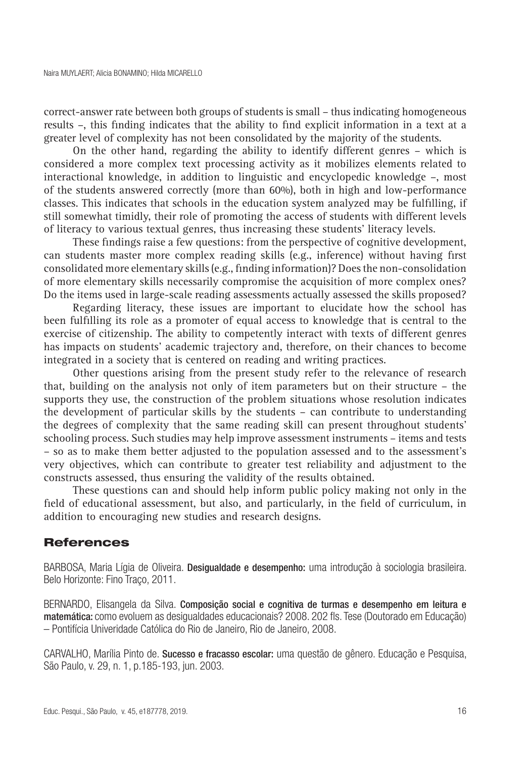correct-answer rate between both groups of students is small – thus indicating homogeneous results –, this finding indicates that the ability to find explicit information in a text at a greater level of complexity has not been consolidated by the majority of the students.

On the other hand, regarding the ability to identify different genres – which is considered a more complex text processing activity as it mobilizes elements related to interactional knowledge, in addition to linguistic and encyclopedic knowledge –, most of the students answered correctly (more than 60%), both in high and low-performance classes. This indicates that schools in the education system analyzed may be fulfilling, if still somewhat timidly, their role of promoting the access of students with different levels of literacy to various textual genres, thus increasing these students' literacy levels.

These findings raise a few questions: from the perspective of cognitive development, can students master more complex reading skills (e.g., inference) without having first consolidated more elementary skills (e.g., finding information)? Does the non-consolidation of more elementary skills necessarily compromise the acquisition of more complex ones? Do the items used in large-scale reading assessments actually assessed the skills proposed?

Regarding literacy, these issues are important to elucidate how the school has been fulfilling its role as a promoter of equal access to knowledge that is central to the exercise of citizenship. The ability to competently interact with texts of different genres has impacts on students' academic trajectory and, therefore, on their chances to become integrated in a society that is centered on reading and writing practices.

Other questions arising from the present study refer to the relevance of research that, building on the analysis not only of item parameters but on their structure – the supports they use, the construction of the problem situations whose resolution indicates the development of particular skills by the students – can contribute to understanding the degrees of complexity that the same reading skill can present throughout students' schooling process. Such studies may help improve assessment instruments – items and tests – so as to make them better adjusted to the population assessed and to the assessment's very objectives, which can contribute to greater test reliability and adjustment to the constructs assessed, thus ensuring the validity of the results obtained.

These questions can and should help inform public policy making not only in the field of educational assessment, but also, and particularly, in the field of curriculum, in addition to encouraging new studies and research designs.

## References

BARBOSA, Maria Lígia de Oliveira. Desigualdade e desempenho: uma introdução à sociologia brasileira. Belo Horizonte: Fino Traço, 2011.

BERNARDO, Elisangela da Silva. Composição social e cognitiva de turmas e desempenho em leitura e matemática: como evoluem as desigualdades educacionais? 2008. 202 fls. Tese (Doutorado em Educação) – Pontifícia Univeridade Católica do Rio de Janeiro, Rio de Janeiro, 2008.

CARVALHO, Marília Pinto de. Sucesso e fracasso escolar: uma questão de gênero. Educação e Pesquisa, São Paulo, v. 29, n. 1, p.185-193, jun. 2003.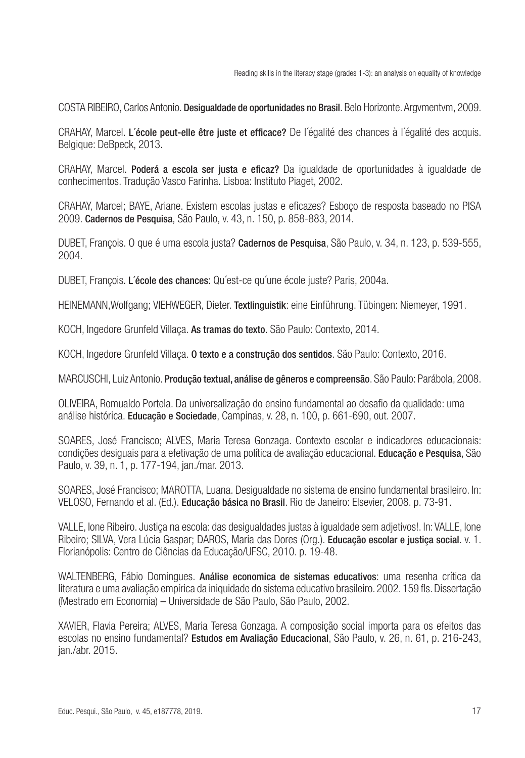COSTA RIBEIRO, Carlos Antonio. Desigualdade de oportunidades no Brasil. Belo Horizonte. Argvmentvm, 2009.

CRAHAY, Marcel. L´école peut-elle être juste et efficace? De l´égalité des chances à l´égalité des acquis. Belgique: DeBpeck, 2013.

CRAHAY, Marcel. Poderá a escola ser justa e eficaz? Da igualdade de oportunidades à igualdade de conhecimentos. Tradução Vasco Farinha. Lisboa: Instituto Piaget, 2002.

CRAHAY, Marcel; BAYE, Ariane. Existem escolas justas e eficazes? Esboço de resposta baseado no PISA 2009. Cadernos de Pesquisa, São Paulo, v. 43, n. 150, p. 858-883, 2014.

DUBET, François. O que é uma escola justa? Cadernos de Pesquisa, São Paulo, v. 34, n. 123, p. 539-555, 2004.

DUBET, François. L´école des chances: Qu´est-ce qu´une école juste? Paris, 2004a.

HEINEMANN,Wolfgang; VIEHWEGER, Dieter. Textlinguistik: eine Einführung. Tübingen: Niemeyer, 1991.

KOCH, Ingedore Grunfeld Villaça. As tramas do texto. São Paulo: Contexto, 2014.

KOCH, Ingedore Grunfeld Villaça. O texto e a construção dos sentidos. São Paulo: Contexto, 2016.

MARCUSCHI, Luiz Antonio. Produção textual, análise de gêneros e compreensão. São Paulo: Parábola, 2008.

OLIVEIRA, Romualdo Portela. Da universalização do ensino fundamental ao desafio da qualidade: uma análise histórica. Educação e Sociedade, Campinas, v. 28, n. 100, p. 661-690, out. 2007.

SOARES, José Francisco; ALVES, Maria Teresa Gonzaga. Contexto escolar e indicadores educacionais: condições desiguais para a efetivação de uma política de avaliação educacional. Educação e Pesquisa, São Paulo, v. 39, n. 1, p. 177-194, jan./mar. 2013.

SOARES, José Francisco; MAROTTA, Luana. Desigualdade no sistema de ensino fundamental brasileiro. In: VELOSO, Fernando et al. (Ed.). Educação básica no Brasil. Rio de Janeiro: Elsevier, 2008. p. 73-91.

VALLE, Ione Ribeiro. Justiça na escola: das desigualdades justas à igualdade sem adjetivos!. In: VALLE, Ione Ribeiro; SILVA, Vera Lúcia Gaspar; DAROS, Maria das Dores (Org.). Educação escolar e justiça social. v. 1. Florianópolis: Centro de Ciências da Educação/UFSC, 2010. p. 19-48.

WALTENBERG, Fábio Domingues. Análise economica de sistemas educativos: uma resenha crítica da literatura e uma avaliação empírica da iniquidade do sistema educativo brasileiro. 2002. 159 fls. Dissertação (Mestrado em Economia) – Universidade de São Paulo, São Paulo, 2002.

XAVIER, Flavia Pereira; ALVES, Maria Teresa Gonzaga. A composição social importa para os efeitos das escolas no ensino fundamental? Estudos em Avaliação Educacional, São Paulo, v. 26, n. 61, p. 216-243, jan./abr. 2015.